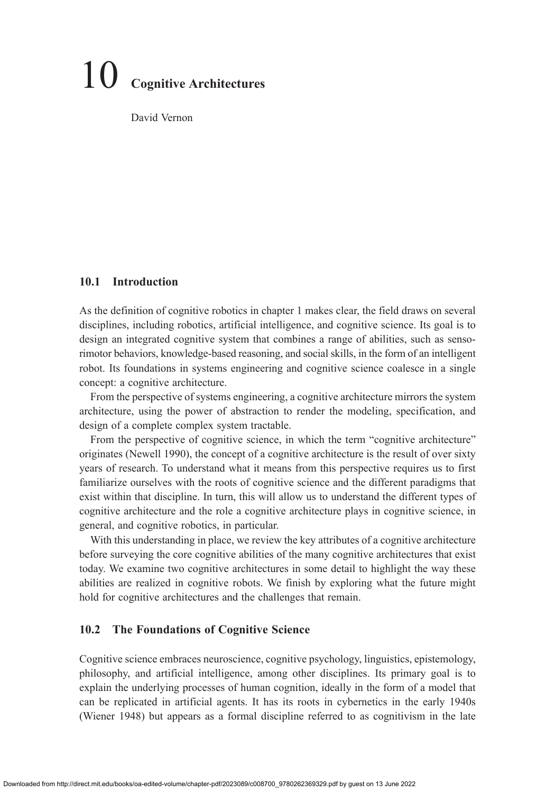# 10 **Cognitive Architectures**

David Vernon

# **10.1 Introduction**

As the definition of cognitive robotics in chapter 1 makes clear, the field draws on several disciplines, including robotics, artificial intelligence, and cognitive science. Its goal is to design an integrated cognitive system that combines a range of abilities, such as sensorimotor behaviors, knowledge-based reasoning, and social skills, in the form of an intelligent robot. Its foundations in systems engineering and cognitive science coalesce in a single concept: a cognitive architecture.

From the perspective of systems engineering, a cognitive architecture mirrors the system architecture, using the power of abstraction to render the modeling, specification, and design of a complete complex system tractable.

From the perspective of cognitive science, in which the term "cognitive architecture" originates (Newell 1990), the concept of a cognitive architecture is the result of over sixty years of research. To understand what it means from this perspective requires us to first familiarize ourselves with the roots of cognitive science and the different paradigms that exist within that discipline. In turn, this will allow us to understand the different types of cognitive architecture and the role a cognitive architecture plays in cognitive science, in general, and cognitive robotics, in particular.

With this understanding in place, we review the key attributes of a cognitive architecture before surveying the core cognitive abilities of the many cognitive architectures that exist today. We examine two cognitive architectures in some detail to highlight the way these abilities are realized in cognitive robots. We finish by exploring what the future might hold for cognitive architectures and the challenges that remain.

# **10.2 The Foundations of Cognitive Science**

Cognitive science embraces neuroscience, cognitive psychology, linguistics, epistemology, philosophy, and artificial intelligence, among other disciplines. Its primary goal is to explain the underlying processes of human cognition, ideally in the form of a model that can be replicated in artificial agents. It has its roots in cybernetics in the early 1940s (Wiener 1948) but appears as a formal discipline referred to as cognitivism in the late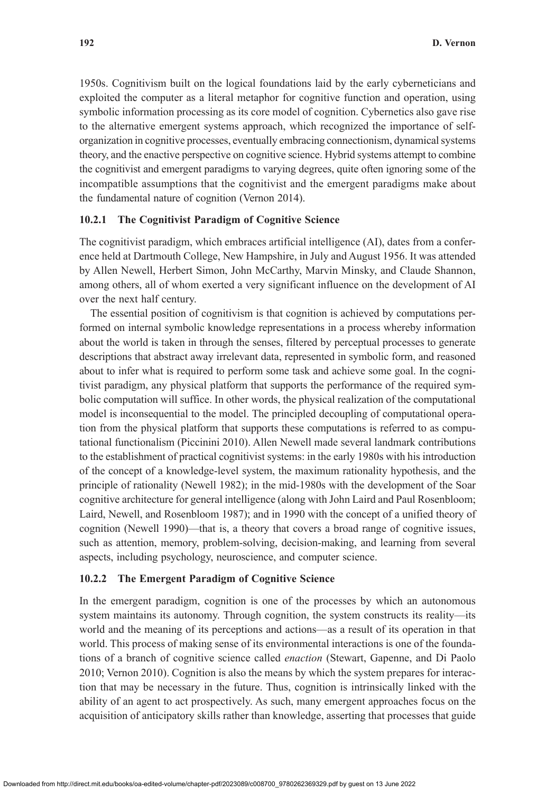1950s. Cognitivism built on the logical foundations laid by the early cyberneticians and exploited the computer as a literal metaphor for cognitive function and operation, using symbolic information processing as its core model of cognition. Cybernetics also gave rise to the alternative emergent systems approach, which recognized the importance of selforganization in cognitive processes, eventually embracing connectionism, dynamical systems theory, and the enactive perspective on cognitive science. Hybrid systems attempt to combine the cognitivist and emergent paradigms to varying degrees, quite often ignoring some of the incompatible assumptions that the cognitivist and the emergent paradigms make about the fundamental nature of cognition (Vernon 2014).

# **10.2.1 The Cognitivist Paradigm of Cognitive Science**

The cognitivist paradigm, which embraces artificial intelligence (AI), dates from a conference held at Dartmouth College, New Hampshire, in July and August 1956. It was attended by Allen Newell, Herbert Simon, John McCarthy, Marvin Minsky, and Claude Shannon, among others, all of whom exerted a very significant influence on the development of AI over the next half century.

The essential position of cognitivism is that cognition is achieved by computations performed on internal symbolic knowledge representations in a process whereby information about the world is taken in through the senses, filtered by perceptual processes to generate descriptions that abstract away irrelevant data, represented in symbolic form, and reasoned about to infer what is required to perform some task and achieve some goal. In the cognitivist paradigm, any physical platform that supports the performance of the required symbolic computation will suffice. In other words, the physical realization of the computational model is inconsequential to the model. The principled decoupling of computational operation from the physical platform that supports these computations is referred to as computational functionalism (Piccinini 2010). Allen Newell made several landmark contributions to the establishment of practical cognitivist systems: in the early 1980s with his introduction of the concept of a knowledge-level system, the maximum rationality hypothesis, and the principle of rationality (Newell 1982); in the mid-1980s with the development of the Soar cognitive architecture for general intelligence (along with John Laird and Paul Rosenbloom; Laird, Newell, and Rosenbloom 1987); and in 1990 with the concept of a unified theory of cognition (Newell 1990)—that is, a theory that covers a broad range of cognitive issues, such as attention, memory, problem-solving, decision-making, and learning from several aspects, including psychology, neuroscience, and computer science.

## **10.2.2 The Emergent Paradigm of Cognitive Science**

In the emergent paradigm, cognition is one of the processes by which an autonomous system maintains its autonomy. Through cognition, the system constructs its reality—its world and the meaning of its perceptions and actions—as a result of its operation in that world. This process of making sense of its environmental interactions is one of the foundations of a branch of cognitive science called *enaction* (Stewart, Gapenne, and Di Paolo 2010; Vernon 2010). Cognition is also the means by which the system prepares for interaction that may be necessary in the future. Thus, cognition is intrinsically linked with the ability of an agent to act prospectively. As such, many emergent approaches focus on the acquisition of anticipatory skills rather than knowledge, asserting that processes that guide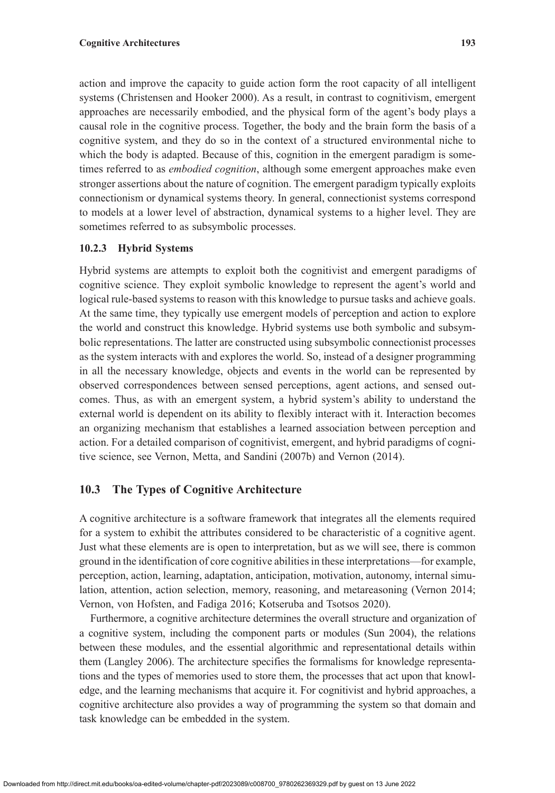action and improve the capacity to guide action form the root capacity of all intelligent systems (Christensen and Hooker 2000). As a result, in contrast to cognitivism, emergent approaches are necessarily embodied, and the physical form of the agent's body plays a causal role in the cognitive process. Together, the body and the brain form the basis of a cognitive system, and they do so in the context of a structured environmental niche to which the body is adapted. Because of this, cognition in the emergent paradigm is sometimes referred to as *embodied cognition*, although some emergent approaches make even stronger assertions about the nature of cognition. The emergent paradigm typically exploits connectionism or dynamical systems theory. In general, connectionist systems correspond to models at a lower level of abstraction, dynamical systems to a higher level. They are sometimes referred to as subsymbolic processes.

# **10.2.3 Hybrid Systems**

Hybrid systems are attempts to exploit both the cognitivist and emergent paradigms of cognitive science. They exploit symbolic knowledge to represent the agent's world and logical rule-based systems to reason with this knowledge to pursue tasks and achieve goals. At the same time, they typically use emergent models of perception and action to explore the world and construct this knowledge. Hybrid systems use both symbolic and subsymbolic representations. The latter are constructed using subsymbolic connectionist processes as the system interacts with and explores the world. So, instead of a designer programming in all the necessary knowledge, objects and events in the world can be represented by observed correspondences between sensed perceptions, agent actions, and sensed outcomes. Thus, as with an emergent system, a hybrid system's ability to understand the external world is dependent on its ability to flexibly interact with it. Interaction becomes an organizing mechanism that establishes a learned association between perception and action. For a detailed comparison of cognitivist, emergent, and hybrid paradigms of cognitive science, see Vernon, Metta, and Sandini (2007b) and Vernon (2014).

# **10.3 The Types of Cognitive Architecture**

A cognitive architecture is a software framework that integrates all the elements required for a system to exhibit the attributes considered to be characteristic of a cognitive agent. Just what these elements are is open to interpretation, but as we will see, there is common ground in the identification of core cognitive abilities in these interpretations—for example, perception, action, learning, adaptation, anticipation, motivation, autonomy, internal simulation, attention, action selection, memory, reasoning, and metareasoning (Vernon 2014; Vernon, von Hofsten, and Fadiga 2016; Kotseruba and Tsotsos 2020).

Furthermore, a cognitive architecture determines the overall structure and organization of a cognitive system, including the component parts or modules (Sun 2004), the relations between these modules, and the essential algorithmic and representational details within them (Langley 2006). The architecture specifies the formalisms for knowledge representations and the types of memories used to store them, the processes that act upon that knowledge, and the learning mechanisms that acquire it. For cognitivist and hybrid approaches, a cognitive architecture also provides a way of programming the system so that domain and task knowledge can be embedded in the system.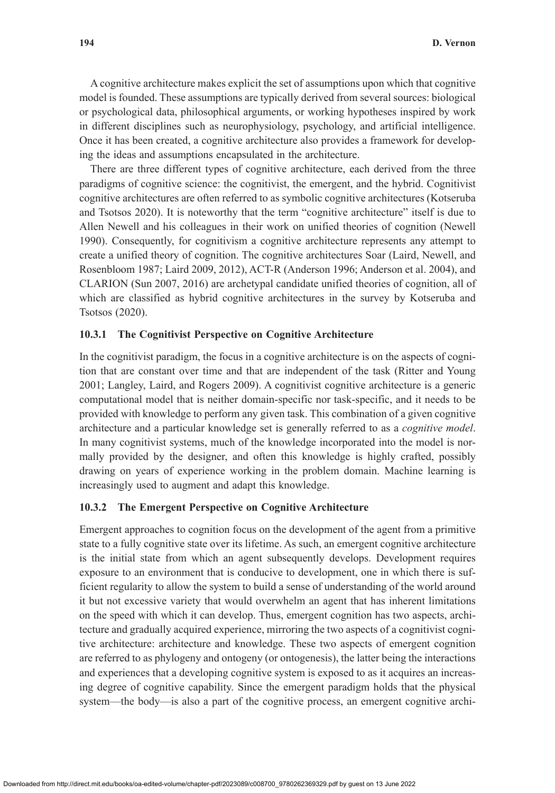A cognitive architecture makes explicit the set of assumptions upon which that cognitive model is founded. These assumptions are typically derived from several sources: biological or psychological data, philosophical arguments, or working hypotheses inspired by work in different disciplines such as neurophysiology, psychology, and artificial intelligence. Once it has been created, a cognitive architecture also provides a framework for developing the ideas and assumptions encapsulated in the architecture.

There are three different types of cognitive architecture, each derived from the three paradigms of cognitive science: the cognitivist, the emergent, and the hybrid. Cognitivist cognitive architectures are often referred to as symbolic cognitive architectures (Kotseruba and Tsotsos 2020). It is noteworthy that the term "cognitive architecture" itself is due to Allen Newell and his colleagues in their work on unified theories of cognition (Newell 1990). Consequently, for cognitivism a cognitive architecture represents any attempt to create a unified theory of cognition. The cognitive architectures Soar (Laird, Newell, and Rosenbloom 1987; Laird 2009, 2012), ACT-R (Anderson 1996; Anderson et al. 2004), and CLARION (Sun 2007, 2016) are archetypal candidate unified theories of cognition, all of which are classified as hybrid cognitive architectures in the survey by Kotseruba and Tsotsos (2020).

# **10.3.1 The Cognitivist Perspective on Cognitive Architecture**

In the cognitivist paradigm, the focus in a cognitive architecture is on the aspects of cognition that are constant over time and that are independent of the task (Ritter and Young 2001; Langley, Laird, and Rogers 2009). A cognitivist cognitive architecture is a generic computational model that is neither domain-specific nor task-specific, and it needs to be provided with knowledge to perform any given task. This combination of a given cognitive architecture and a particular knowledge set is generally referred to as a *cognitive model*. In many cognitivist systems, much of the knowledge incorporated into the model is normally provided by the designer, and often this knowledge is highly crafted, possibly drawing on years of experience working in the problem domain. Machine learning is increasingly used to augment and adapt this knowledge.

## **10.3.2 The Emergent Perspective on Cognitive Architecture**

Emergent approaches to cognition focus on the development of the agent from a primitive state to a fully cognitive state over its lifetime. As such, an emergent cognitive architecture is the initial state from which an agent subsequently develops. Development requires exposure to an environment that is conducive to development, one in which there is sufficient regularity to allow the system to build a sense of understanding of the world around it but not excessive variety that would overwhelm an agent that has inherent limitations on the speed with which it can develop. Thus, emergent cognition has two aspects, architecture and gradually acquired experience, mirroring the two aspects of a cognitivist cognitive architecture: architecture and knowledge. These two aspects of emergent cognition are referred to as phylogeny and ontogeny (or ontogenesis), the latter being the interactions and experiences that a developing cognitive system is exposed to as it acquires an increasing degree of cognitive capability. Since the emergent paradigm holds that the physical system—the body—is also a part of the cognitive process, an emergent cognitive archi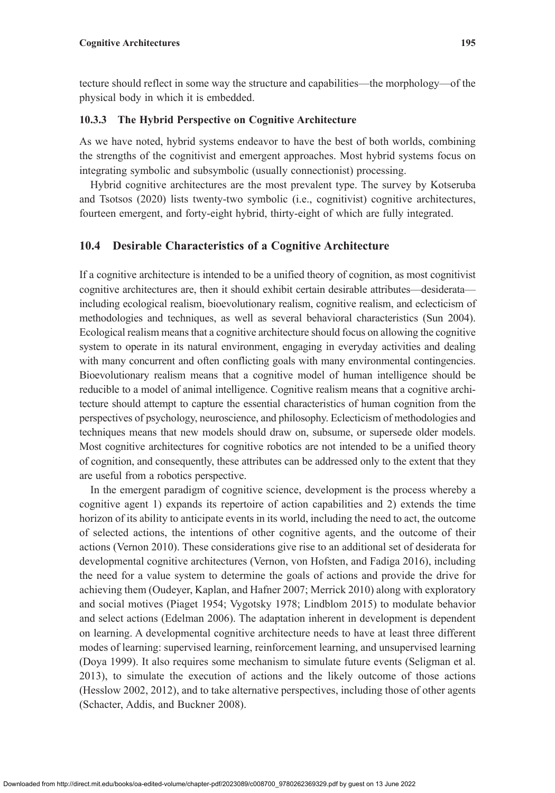tecture should reflect in some way the structure and capabilities—the morphology—of the physical body in which it is embedded.

# **10.3.3 The Hybrid Perspective on Cognitive Architecture**

As we have noted, hybrid systems endeavor to have the best of both worlds, combining the strengths of the cognitivist and emergent approaches. Most hybrid systems focus on integrating symbolic and subsymbolic (usually connectionist) processing.

Hybrid cognitive architectures are the most prevalent type. The survey by Kotseruba and Tsotsos (2020) lists twenty-two symbolic (i.e., cognitivist) cognitive architectures, fourteen emergent, and forty-eight hybrid, thirty-eight of which are fully integrated.

# **10.4 Desirable Characteristics of a Cognitive Architecture**

If a cognitive architecture is intended to be a unified theory of cognition, as most cognitivist cognitive architectures are, then it should exhibit certain desirable attributes—desiderata including ecological realism, bioevolutionary realism, cognitive realism, and eclecticism of methodologies and techniques, as well as several behavioral characteristics (Sun 2004). Ecological realism means that a cognitive architecture should focus on allowing the cognitive system to operate in its natural environment, engaging in everyday activities and dealing with many concurrent and often conflicting goals with many environmental contingencies. Bioevolutionary realism means that a cognitive model of human intelligence should be reducible to a model of animal intelligence. Cognitive realism means that a cognitive architecture should attempt to capture the essential characteristics of human cognition from the perspectives of psychology, neuroscience, and philosophy. Eclecticism of methodologies and techniques means that new models should draw on, subsume, or supersede older models. Most cognitive architectures for cognitive robotics are not intended to be a unified theory of cognition, and consequently, these attributes can be addressed only to the extent that they are useful from a robotics perspective.

In the emergent paradigm of cognitive science, development is the process whereby a cognitive agent 1) expands its repertoire of action capabilities and 2) extends the time horizon of its ability to anticipate events in its world, including the need to act, the outcome of selected actions, the intentions of other cognitive agents, and the outcome of their actions (Vernon 2010). These considerations give rise to an additional set of desiderata for developmental cognitive architectures (Vernon, von Hofsten, and Fadiga 2016), including the need for a value system to determine the goals of actions and provide the drive for achieving them (Oudeyer, Kaplan, and Hafner 2007; Merrick 2010) along with exploratory and social motives (Piaget 1954; Vygotsky 1978; Lindblom 2015) to modulate behavior and select actions (Edelman 2006). The adaptation inherent in development is dependent on learning. A developmental cognitive architecture needs to have at least three different modes of learning: supervised learning, reinforcement learning, and unsupervised learning (Doya 1999). It also requires some mechanism to simulate future events (Seligman et al. 2013), to simulate the execution of actions and the likely outcome of those actions (Hesslow 2002, 2012), and to take alternative perspectives, including those of other agents (Schacter, Addis, and Buckner 2008).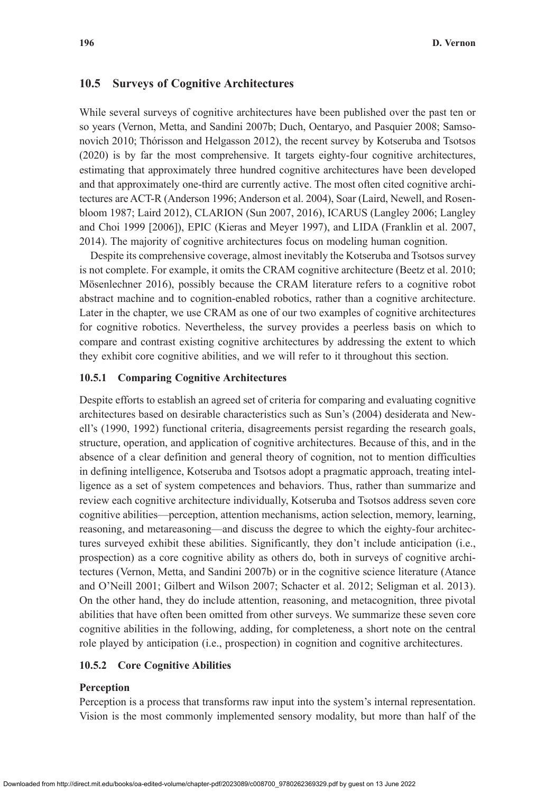## **10.5 Surveys of Cognitive Architectures**

While several surveys of cognitive architectures have been published over the past ten or so years (Vernon, Metta, and Sandini 2007b; Duch, Oentaryo, and Pasquier 2008; Samsonovich 2010; Thórisson and Helgasson 2012), the recent survey by Kotseruba and Tsotsos (2020) is by far the most comprehensive. It targets eighty-four cognitive architectures, estimating that approximately three hundred cognitive architectures have been developed and that approximately one-third are currently active. The most often cited cognitive architectures are ACT-R (Anderson 1996; Anderson et al. 2004), Soar (Laird, Newell, and Rosenbloom 1987; Laird 2012), CLARION (Sun 2007, 2016), ICARUS (Langley 2006; Langley and Choi 1999 [2006]), EPIC (Kieras and Meyer 1997), and LIDA (Franklin et al. 2007, 2014). The majority of cognitive architectures focus on modeling human cognition.

Despite its comprehensive coverage, almost inevitably the Kotseruba and Tsotsos survey is not complete. For example, it omits the CRAM cognitive architecture (Beetz et al. 2010; Mösenlechner 2016), possibly because the CRAM literature refers to a cognitive robot abstract machine and to cognition-enabled robotics, rather than a cognitive architecture. Later in the chapter, we use CRAM as one of our two examples of cognitive architectures for cognitive robotics. Nevertheless, the survey provides a peerless basis on which to compare and contrast existing cognitive architectures by addressing the extent to which they exhibit core cognitive abilities, and we will refer to it throughout this section.

## **10.5.1 Comparing Cognitive Architectures**

Despite efforts to establish an agreed set of criteria for comparing and evaluating cognitive architectures based on desirable characteristics such as Sun's (2004) desiderata and Newell's (1990, 1992) functional criteria, disagreements persist regarding the research goals, structure, operation, and application of cognitive architectures. Because of this, and in the absence of a clear definition and general theory of cognition, not to mention difficulties in defining intelligence, Kotseruba and Tsotsos adopt a pragmatic approach, treating intelligence as a set of system competences and behaviors. Thus, rather than summarize and review each cognitive architecture individually, Kotseruba and Tsotsos address seven core cognitive abilities—perception, attention mechanisms, action selection, memory, learning, reasoning, and metareasoning—and discuss the degree to which the eighty-four architectures surveyed exhibit these abilities. Significantly, they don't include anticipation (i.e., prospection) as a core cognitive ability as others do, both in surveys of cognitive architectures (Vernon, Metta, and Sandini 2007b) or in the cognitive science literature (Atance and O'Neill 2001; Gilbert and Wilson 2007; Schacter et al. 2012; Seligman et al. 2013). On the other hand, they do include attention, reasoning, and metacognition, three pivotal abilities that have often been omitted from other surveys. We summarize these seven core cognitive abilities in the following, adding, for completeness, a short note on the central role played by anticipation (i.e., prospection) in cognition and cognitive architectures.

## **10.5.2 Core Cognitive Abilities**

#### **Perception**

Perception is a process that transforms raw input into the system's internal representation. Vision is the most commonly implemented sensory modality, but more than half of the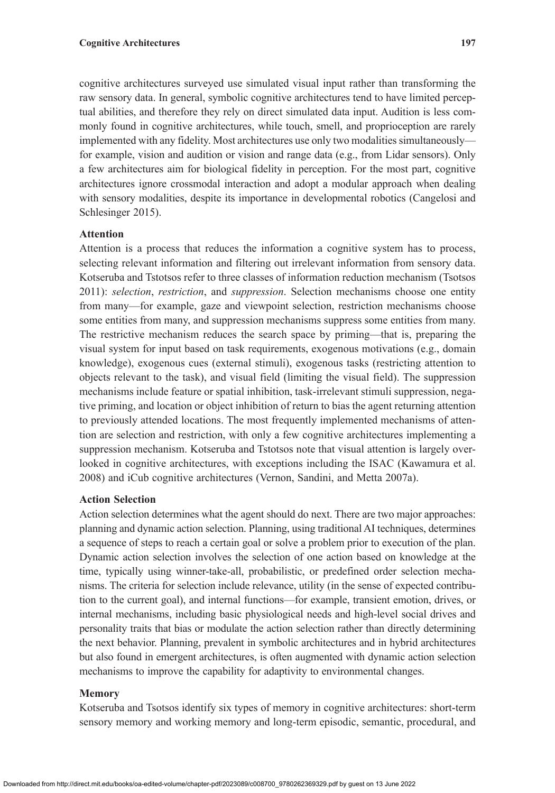cognitive architectures surveyed use simulated visual input rather than transforming the raw sensory data. In general, symbolic cognitive architectures tend to have limited perceptual abilities, and therefore they rely on direct simulated data input. Audition is less commonly found in cognitive architectures, while touch, smell, and proprioception are rarely implemented with any fidelity. Most architectures use only two modalities simultaneously for example, vision and audition or vision and range data (e.g., from Lidar sensors). Only a few architectures aim for biological fidelity in perception. For the most part, cognitive architectures ignore crossmodal interaction and adopt a modular approach when dealing with sensory modalities, despite its importance in developmental robotics (Cangelosi and Schlesinger 2015).

# **Attention**

Attention is a process that reduces the information a cognitive system has to process, selecting relevant information and filtering out irrelevant information from sensory data. Kotseruba and Tstotsos refer to three classes of information reduction mechanism (Tsotsos 2011): *selection*, *restriction*, and *suppression*. Selection mechanisms choose one entity from many—for example, gaze and viewpoint selection, restriction mechanisms choose some entities from many, and suppression mechanisms suppress some entities from many. The restrictive mechanism reduces the search space by priming—that is, preparing the visual system for input based on task requirements, exogenous motivations (e.g., domain knowledge), exogenous cues (external stimuli), exogenous tasks (restricting attention to objects relevant to the task), and visual field (limiting the visual field). The suppression mechanisms include feature or spatial inhibition, task-irrelevant stimuli suppression, negative priming, and location or object inhibition of return to bias the agent returning attention to previously attended locations. The most frequently implemented mechanisms of attention are selection and restriction, with only a few cognitive architectures implementing a suppression mechanism. Kotseruba and Tstotsos note that visual attention is largely overlooked in cognitive architectures, with exceptions including the ISAC (Kawamura et al. 2008) and iCub cognitive architectures (Vernon, Sandini, and Metta 2007a).

## **Action Selection**

Action selection determines what the agent should do next. There are two major approaches: planning and dynamic action selection. Planning, using traditional AI techniques, determines a sequence of steps to reach a certain goal or solve a problem prior to execution of the plan. Dynamic action selection involves the selection of one action based on knowledge at the time, typically using winner-take-all, probabilistic, or predefined order selection mechanisms. The criteria for selection include relevance, utility (in the sense of expected contribution to the current goal), and internal functions—for example, transient emotion, drives, or internal mechanisms, including basic physiological needs and high-level social drives and personality traits that bias or modulate the action selection rather than directly determining the next behavior. Planning, prevalent in symbolic architectures and in hybrid architectures but also found in emergent architectures, is often augmented with dynamic action selection mechanisms to improve the capability for adaptivity to environmental changes.

# **Memory**

Kotseruba and Tsotsos identify six types of memory in cognitive architectures: short-term sensory memory and working memory and long-term episodic, semantic, procedural, and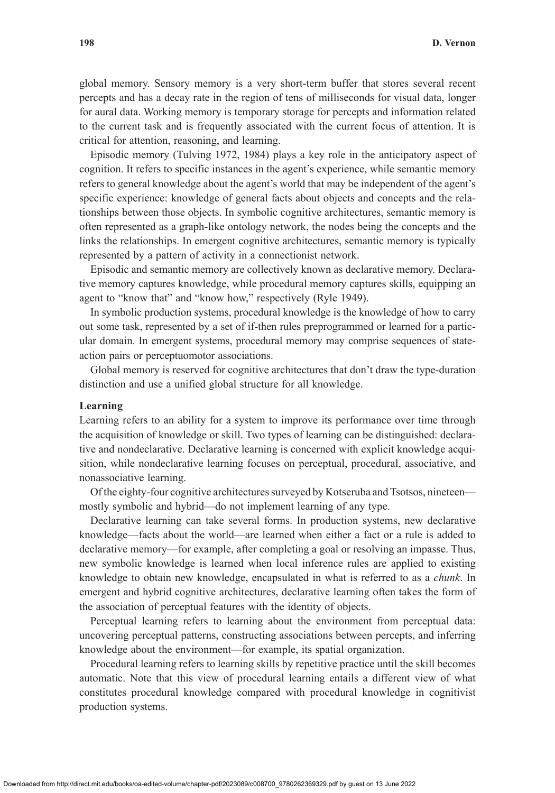global memory. Sensory memory is a very short-term buffer that stores several recent percepts and has a decay rate in the region of tens of milliseconds for visual data, longer for aural data. Working memory is temporary storage for percepts and information related to the current task and is frequently associated with the current focus of attention. It is critical for attention, reasoning, and learning.

Episodic memory (Tulving 1972, 1984) plays a key role in the anticipatory aspect of cognition. It refers to specific instances in the agent's experience, while semantic memory refers to general knowledge about the agent's world that may be independent of the agent's specific experience: knowledge of general facts about objects and concepts and the relationships between those objects. In symbolic cognitive architectures, semantic memory is often represented as a graph-like ontology network, the nodes being the concepts and the links the relationships. In emergent cognitive architectures, semantic memory is typically represented by a pattern of activity in a connectionist network.

Episodic and semantic memory are collectively known as declarative memory. Declarative memory captures knowledge, while procedural memory captures skills, equipping an agent to "know that" and "know how," respectively (Ryle 1949).

In symbolic production systems, procedural knowledge is the knowledge of how to carry out some task, represented by a set of if-then rules preprogrammed or learned for a particular domain. In emergent systems, procedural memory may comprise sequences of stateaction pairs or perceptuomotor associations.

Global memory is reserved for cognitive architectures that don't draw the type-duration distinction and use a unified global structure for all knowledge.

#### **Learning**

Learning refers to an ability for a system to improve its performance over time through the acquisition of knowledge or skill. Two types of learning can be distinguished: declarative and nondeclarative. Declarative learning is concerned with explicit knowledge acquisition, while nondeclarative learning focuses on perceptual, procedural, associative, and nonassociative learning.

Of the eighty-four cognitive architectures surveyed by Kotseruba and Tsotsos, nineteen mostly symbolic and hybrid—do not implement learning of any type.

Declarative learning can take several forms. In production systems, new declarative knowledge—facts about the world—are learned when either a fact or a rule is added to declarative memory—for example, after completing a goal or resolving an impasse. Thus, new symbolic knowledge is learned when local inference rules are applied to existing knowledge to obtain new knowledge, encapsulated in what is referred to as a *chunk*. In emergent and hybrid cognitive architectures, declarative learning often takes the form of the association of perceptual features with the identity of objects.

Perceptual learning refers to learning about the environment from perceptual data: uncovering perceptual patterns, constructing associations between percepts, and inferring knowledge about the environment—for example, its spatial organization.

Procedural learning refers to learning skills by repetitive practice until the skill becomes automatic. Note that this view of procedural learning entails a different view of what constitutes procedural knowledge compared with procedural knowledge in cognitivist production systems.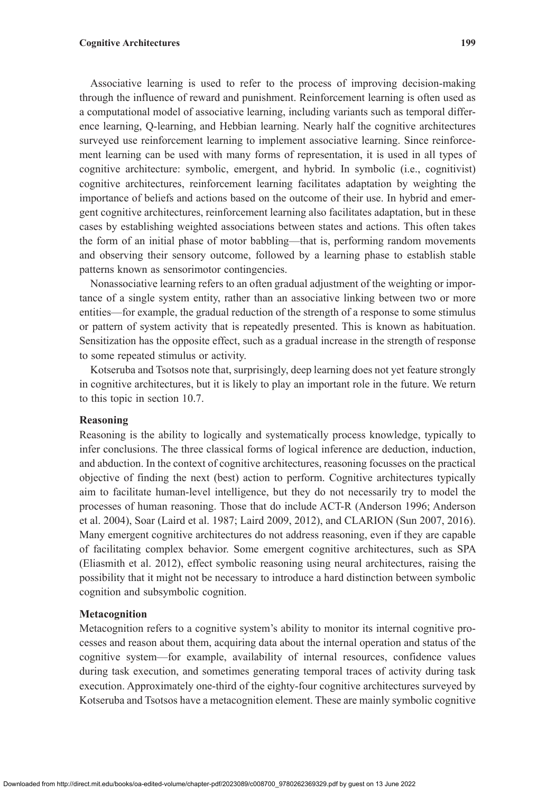## **Cognitive Architectures 199**

Associative learning is used to refer to the process of improving decision-making through the influence of reward and punishment. Reinforcement learning is often used as a computational model of associative learning, including variants such as temporal difference learning, Q-learning, and Hebbian learning. Nearly half the cognitive architectures surveyed use reinforcement learning to implement associative learning. Since reinforcement learning can be used with many forms of representation, it is used in all types of cognitive architecture: symbolic, emergent, and hybrid. In symbolic (i.e., cognitivist) cognitive architectures, reinforcement learning facilitates adaptation by weighting the importance of beliefs and actions based on the outcome of their use. In hybrid and emergent cognitive architectures, reinforcement learning also facilitates adaptation, but in these cases by establishing weighted associations between states and actions. This often takes the form of an initial phase of motor babbling—that is, performing random movements and observing their sensory outcome, followed by a learning phase to establish stable patterns known as sensorimotor contingencies.

Nonassociative learning refers to an often gradual adjustment of the weighting or importance of a single system entity, rather than an associative linking between two or more entities—for example, the gradual reduction of the strength of a response to some stimulus or pattern of system activity that is repeatedly presented. This is known as habituation. Sensitization has the opposite effect, such as a gradual increase in the strength of response to some repeated stimulus or activity.

Kotseruba and Tsotsos note that, surprisingly, deep learning does not yet feature strongly in cognitive architectures, but it is likely to play an important role in the future. We return to this topic in section 10.7.

#### **Reasoning**

Reasoning is the ability to logically and systematically process knowledge, typically to infer conclusions. The three classical forms of logical inference are deduction, induction, and abduction. In the context of cognitive architectures, reasoning focusses on the practical objective of finding the next (best) action to perform. Cognitive architectures typically aim to facilitate human-level intelligence, but they do not necessarily try to model the processes of human reasoning. Those that do include ACT-R (Anderson 1996; Anderson et al. 2004), Soar (Laird et al. 1987; Laird 2009, 2012), and CLARION (Sun 2007, 2016). Many emergent cognitive architectures do not address reasoning, even if they are capable of facilitating complex behavior. Some emergent cognitive architectures, such as SPA (Eliasmith et al. 2012), effect symbolic reasoning using neural architectures, raising the possibility that it might not be necessary to introduce a hard distinction between symbolic cognition and subsymbolic cognition.

#### **Metacognition**

Metacognition refers to a cognitive system's ability to monitor its internal cognitive processes and reason about them, acquiring data about the internal operation and status of the cognitive system—for example, availability of internal resources, confidence values during task execution, and sometimes generating temporal traces of activity during task execution. Approximately one-third of the eighty-four cognitive architectures surveyed by Kotseruba and Tsotsos have a metacognition element. These are mainly symbolic cognitive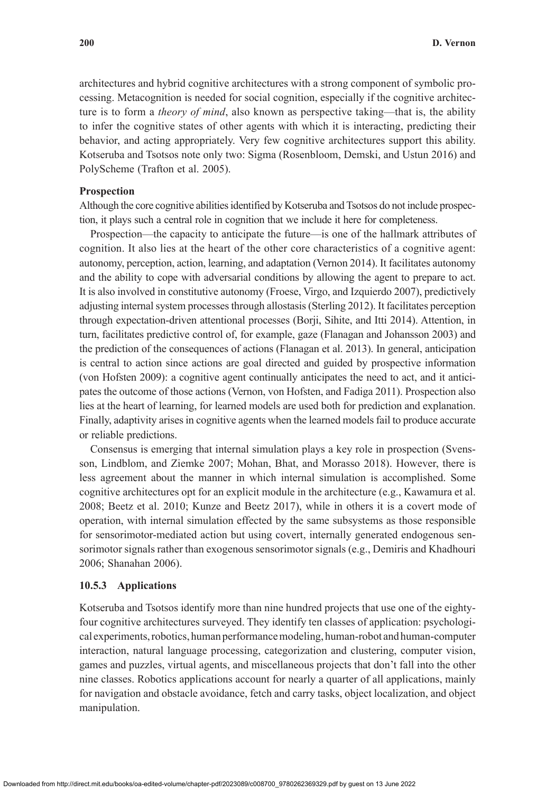architectures and hybrid cognitive architectures with a strong component of symbolic processing. Metacognition is needed for social cognition, especially if the cognitive architecture is to form a *theory of mind*, also known as perspective taking—that is, the ability to infer the cognitive states of other agents with which it is interacting, predicting their behavior, and acting appropriately. Very few cognitive architectures support this ability. Kotseruba and Tsotsos note only two: Sigma (Rosenbloom, Demski, and Ustun 2016) and PolyScheme (Trafton et al. 2005).

## **Prospection**

Although the core cognitive abilities identified by Kotseruba and Tsotsos do not include prospection, it plays such a central role in cognition that we include it here for completeness.

Prospection—the capacity to anticipate the future—is one of the hallmark attributes of cognition. It also lies at the heart of the other core characteristics of a cognitive agent: autonomy, perception, action, learning, and adaptation (Vernon 2014). It facilitates autonomy and the ability to cope with adversarial conditions by allowing the agent to prepare to act. It is also involved in constitutive autonomy (Froese, Virgo, and Izquierdo 2007), predictively adjusting internal system processes through allostasis (Sterling 2012). It facilitates perception through expectation-driven attentional processes (Borji, Sihite, and Itti 2014). Attention, in turn, facilitates predictive control of, for example, gaze (Flanagan and Johansson 2003) and the prediction of the consequences of actions (Flanagan et al. 2013). In general, anticipation is central to action since actions are goal directed and guided by prospective information (von Hofsten 2009): a cognitive agent continually anticipates the need to act, and it anticipates the outcome of those actions (Vernon, von Hofsten, and Fadiga 2011). Prospection also lies at the heart of learning, for learned models are used both for prediction and explanation. Finally, adaptivity arises in cognitive agents when the learned models fail to produce accurate or reliable predictions.

Consensus is emerging that internal simulation plays a key role in prospection (Svensson, Lindblom, and Ziemke 2007; Mohan, Bhat, and Morasso 2018). However, there is less agreement about the manner in which internal simulation is accomplished. Some cognitive architectures opt for an explicit module in the architecture (e.g., Kawamura et al. 2008; Beetz et al. 2010; Kunze and Beetz 2017), while in others it is a covert mode of operation, with internal simulation effected by the same subsystems as those responsible for sensorimotor-mediated action but using covert, internally generated endogenous sensorimotor signals rather than exogenous sensorimotor signals (e.g., Demiris and Khadhouri 2006; Shanahan 2006).

#### **10.5.3 Applications**

Kotseruba and Tsotsos identify more than nine hundred projects that use one of the eightyfour cognitive architectures surveyed. They identify ten classes of application: psychological experiments, robotics, human performance modeling, human-robot and human-computer interaction, natural language processing, categorization and clustering, computer vision, games and puzzles, virtual agents, and miscellaneous projects that don't fall into the other nine classes. Robotics applications account for nearly a quarter of all applications, mainly for navigation and obstacle avoidance, fetch and carry tasks, object localization, and object manipulation.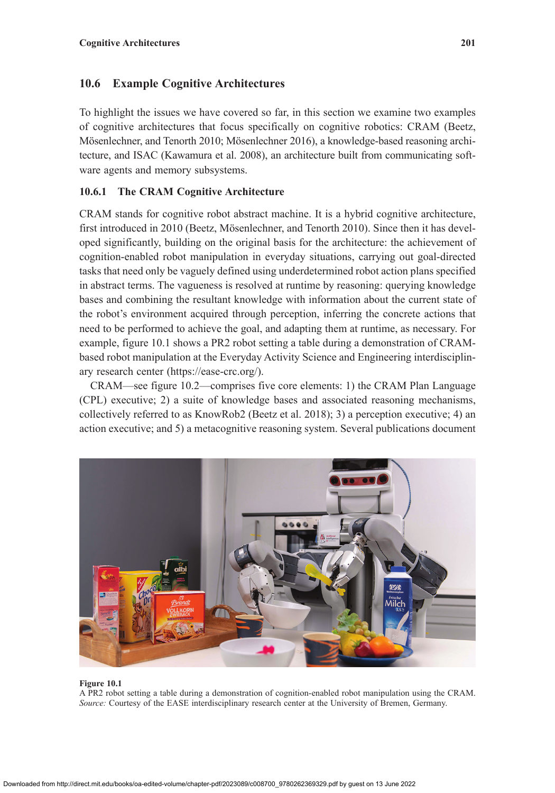# **10.6 Example Cognitive Architectures**

To highlight the issues we have covered so far, in this section we examine two examples of cognitive architectures that focus specifically on cognitive robotics: CRAM (Beetz, Mösenlechner, and Tenorth 2010; Mösenlechner 2016), a knowledge-based reasoning architecture, and ISAC (Kawamura et al. 2008), an architecture built from communicating software agents and memory subsystems.

# **10.6.1 The CRAM Cognitive Architecture**

CRAM stands for cognitive robot abstract machine. It is a hybrid cognitive architecture, first introduced in 2010 (Beetz, Mösenlechner, and Tenorth 2010). Since then it has developed significantly, building on the original basis for the architecture: the achievement of cognition-enabled robot manipulation in everyday situations, carrying out goal-directed tasks that need only be vaguely defined using underdetermined robot action plans specified in abstract terms. The vagueness is resolved at runtime by reasoning: querying knowledge bases and combining the resultant knowledge with information about the current state of the robot's environment acquired through perception, inferring the concrete actions that need to be performed to achieve the goal, and adapting them at runtime, as necessary. For example, figure 10.1 shows a PR2 robot setting a table during a demonstration of CRAMbased robot manipulation at the Everyday Activity Science and Engineering interdisciplinary research center ([https://ease-crc.org/\)](https://ease-crc.org/).

CRAM—see figure 10.2—comprises five core elements: 1) the CRAM Plan Language (CPL) executive; 2) a suite of knowledge bases and associated reasoning mechanisms, collectively referred to as KnowRob2 (Beetz et al. 2018); 3) a perception executive; 4) an action executive; and 5) a metacognitive reasoning system. Several publications document



#### **Figure 10.1**

A PR2 robot setting a table during a demonstration of cognition-enabled robot manipulation using the CRAM. *Source:* Courtesy of the EASE interdisciplinary research center at the University of Bremen, Germany.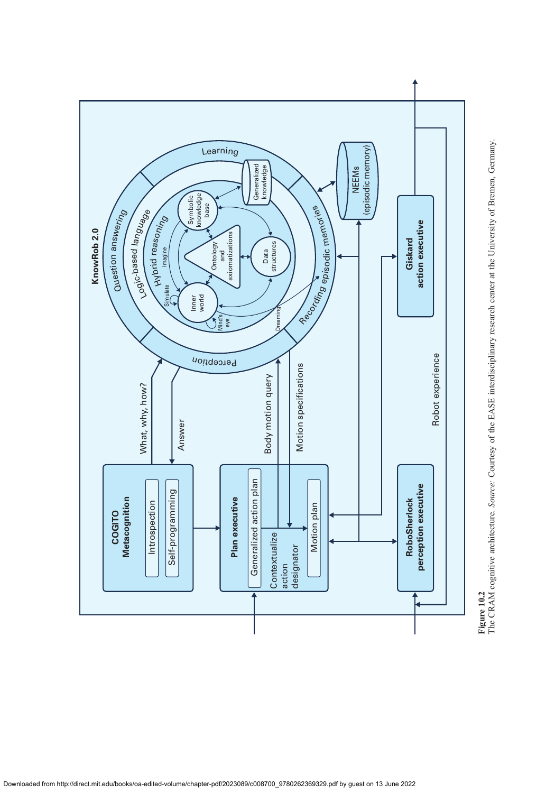

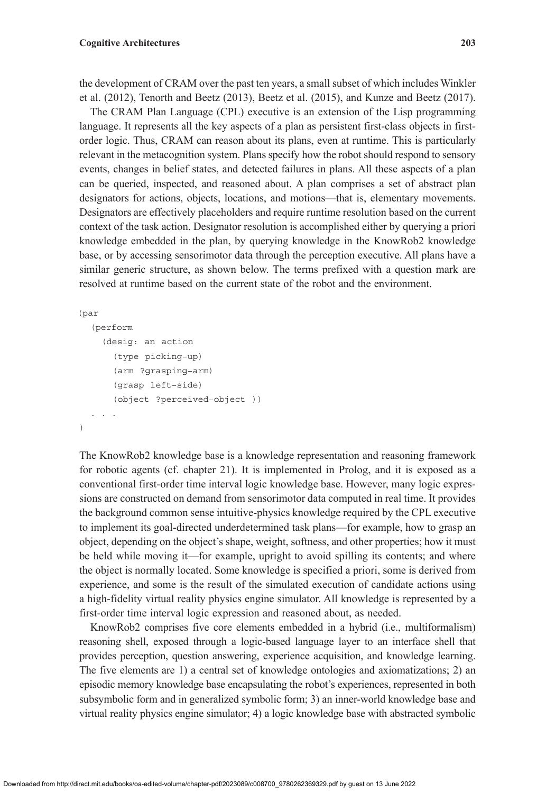the development of CRAM over the past ten years, a small subset of which includes Winkler et al. (2012), Tenorth and Beetz (2013), Beetz et al. (2015), and Kunze and Beetz (2017).

The CRAM Plan Language (CPL) executive is an extension of the Lisp programming language. It represents all the key aspects of a plan as persistent first-class objects in firstorder logic. Thus, CRAM can reason about its plans, even at runtime. This is particularly relevant in the metacognition system. Plans specify how the robot should respond to sensory events, changes in belief states, and detected failures in plans. All these aspects of a plan can be queried, inspected, and reasoned about. A plan comprises a set of abstract plan designators for actions, objects, locations, and motions—that is, elementary movements. Designators are effectively placeholders and require runtime resolution based on the current context of the task action. Designator resolution is accomplished either by querying a priori knowledge embedded in the plan, by querying knowledge in the KnowRob2 knowledge base, or by accessing sensorimotor data through the perception executive. All plans have a similar generic structure, as shown below. The terms prefixed with a question mark are resolved at runtime based on the current state of the robot and the environment.

```
 (par
```

```
(perform
    (desig: an action
      (type picking−up)
      (arm ?grasping−arm)
      (grasp left−side)
      (object ?perceived−object ))
  . . .
)
```
The KnowRob2 knowledge base is a knowledge representation and reasoning framework for robotic agents (cf. chapter 21). It is implemented in Prolog, and it is exposed as a conventional first-order time interval logic knowledge base. However, many logic expressions are constructed on demand from sensorimotor data computed in real time. It provides the background common sense intuitive-physics knowledge required by the CPL executive to implement its goal-directed underdetermined task plans—for example, how to grasp an object, depending on the object's shape, weight, softness, and other properties; how it must be held while moving it—for example, upright to avoid spilling its contents; and where the object is normally located. Some knowledge is specified a priori, some is derived from experience, and some is the result of the simulated execution of candidate actions using a high-fidelity virtual reality physics engine simulator. All knowledge is represented by a first-order time interval logic expression and reasoned about, as needed.

KnowRob2 comprises five core elements embedded in a hybrid (i.e., multiformalism) reasoning shell, exposed through a logic-based language layer to an interface shell that provides perception, question answering, experience acquisition, and knowledge learning. The five elements are 1) a central set of knowledge ontologies and axiomatizations; 2) an episodic memory knowledge base encapsulating the robot's experiences, represented in both subsymbolic form and in generalized symbolic form; 3) an inner-world knowledge base and virtual reality physics engine simulator; 4) a logic knowledge base with abstracted symbolic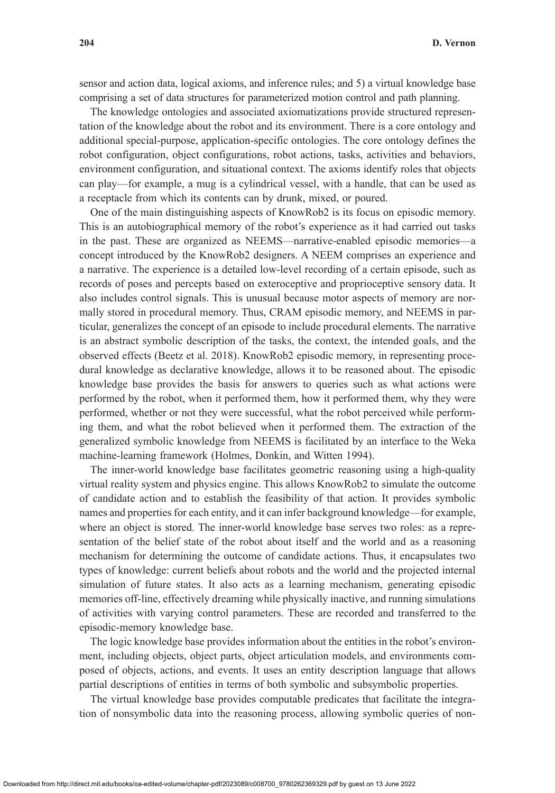sensor and action data, logical axioms, and inference rules; and 5) a virtual knowledge base comprising a set of data structures for parameterized motion control and path planning.

The knowledge ontologies and associated axiomatizations provide structured representation of the knowledge about the robot and its environment. There is a core ontology and additional special-purpose, application-specific ontologies. The core ontology defines the robot configuration, object configurations, robot actions, tasks, activities and behaviors, environment configuration, and situational context. The axioms identify roles that objects can play—for example, a mug is a cylindrical vessel, with a handle, that can be used as a receptacle from which its contents can by drunk, mixed, or poured.

One of the main distinguishing aspects of KnowRob2 is its focus on episodic memory. This is an autobiographical memory of the robot's experience as it had carried out tasks in the past. These are organized as NEEMS—narrative-enabled episodic memories—a concept introduced by the KnowRob2 designers. A NEEM comprises an experience and a narrative. The experience is a detailed low-level recording of a certain episode, such as records of poses and percepts based on exteroceptive and proprioceptive sensory data. It also includes control signals. This is unusual because motor aspects of memory are normally stored in procedural memory. Thus, CRAM episodic memory, and NEEMS in particular, generalizes the concept of an episode to include procedural elements. The narrative is an abstract symbolic description of the tasks, the context, the intended goals, and the observed effects (Beetz et al. 2018). KnowRob2 episodic memory, in representing procedural knowledge as declarative knowledge, allows it to be reasoned about. The episodic knowledge base provides the basis for answers to queries such as what actions were performed by the robot, when it performed them, how it performed them, why they were performed, whether or not they were successful, what the robot perceived while performing them, and what the robot believed when it performed them. The extraction of the generalized symbolic knowledge from NEEMS is facilitated by an interface to the Weka machine-learning framework (Holmes, Donkin, and Witten 1994).

The inner-world knowledge base facilitates geometric reasoning using a high-quality virtual reality system and physics engine. This allows KnowRob2 to simulate the outcome of candidate action and to establish the feasibility of that action. It provides symbolic names and properties for each entity, and it can infer background knowledge—for example, where an object is stored. The inner-world knowledge base serves two roles: as a representation of the belief state of the robot about itself and the world and as a reasoning mechanism for determining the outcome of candidate actions. Thus, it encapsulates two types of knowledge: current beliefs about robots and the world and the projected internal simulation of future states. It also acts as a learning mechanism, generating episodic memories off-line, effectively dreaming while physically inactive, and running simulations of activities with varying control parameters. These are recorded and transferred to the episodic-memory knowledge base.

The logic knowledge base provides information about the entities in the robot's environment, including objects, object parts, object articulation models, and environments composed of objects, actions, and events. It uses an entity description language that allows partial descriptions of entities in terms of both symbolic and subsymbolic properties.

The virtual knowledge base provides computable predicates that facilitate the integration of nonsymbolic data into the reasoning process, allowing symbolic queries of non-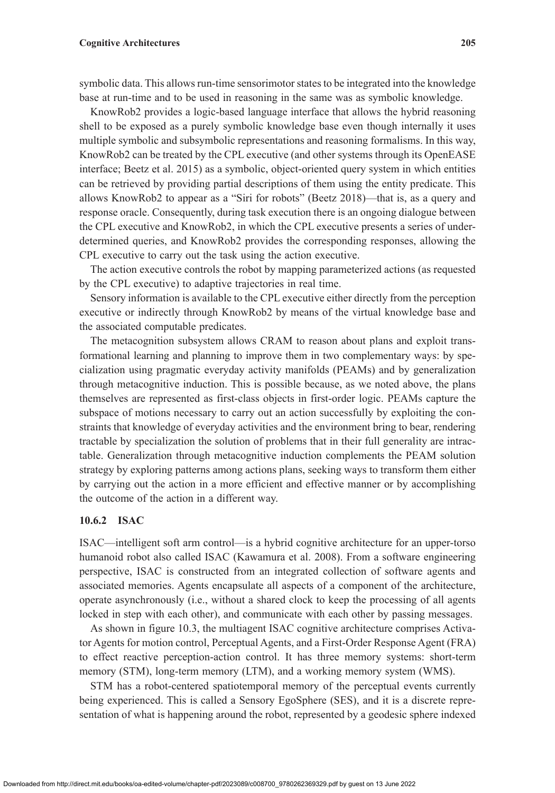#### **Cognitive Architectures 205**

symbolic data. This allows run-time sensorimotor states to be integrated into the knowledge base at run-time and to be used in reasoning in the same was as symbolic knowledge.

KnowRob2 provides a logic-based language interface that allows the hybrid reasoning shell to be exposed as a purely symbolic knowledge base even though internally it uses multiple symbolic and subsymbolic representations and reasoning formalisms. In this way, KnowRob2 can be treated by the CPL executive (and other systems through its OpenEASE interface; Beetz et al. 2015) as a symbolic, object-oriented query system in which entities can be retrieved by providing partial descriptions of them using the entity predicate. This allows KnowRob2 to appear as a "Siri for robots" (Beetz 2018)—that is, as a query and response oracle. Consequently, during task execution there is an ongoing dialogue between the CPL executive and KnowRob2, in which the CPL executive presents a series of underdetermined queries, and KnowRob2 provides the corresponding responses, allowing the CPL executive to carry out the task using the action executive.

The action executive controls the robot by mapping parameterized actions (as requested by the CPL executive) to adaptive trajectories in real time.

Sensory information is available to the CPL executive either directly from the perception executive or indirectly through KnowRob2 by means of the virtual knowledge base and the associated computable predicates.

The metacognition subsystem allows CRAM to reason about plans and exploit transformational learning and planning to improve them in two complementary ways: by specialization using pragmatic everyday activity manifolds (PEAMs) and by generalization through metacognitive induction. This is possible because, as we noted above, the plans themselves are represented as first-class objects in first-order logic. PEAMs capture the subspace of motions necessary to carry out an action successfully by exploiting the constraints that knowledge of everyday activities and the environment bring to bear, rendering tractable by specialization the solution of problems that in their full generality are intractable. Generalization through metacognitive induction complements the PEAM solution strategy by exploring patterns among actions plans, seeking ways to transform them either by carrying out the action in a more efficient and effective manner or by accomplishing the outcome of the action in a different way.

## **10.6.2 ISAC**

ISAC—intelligent soft arm control—is a hybrid cognitive architecture for an upper-torso humanoid robot also called ISAC (Kawamura et al. 2008). From a software engineering perspective, ISAC is constructed from an integrated collection of software agents and associated memories. Agents encapsulate all aspects of a component of the architecture, operate asynchronously (i.e., without a shared clock to keep the processing of all agents locked in step with each other), and communicate with each other by passing messages.

As shown in figure 10.3, the multiagent ISAC cognitive architecture comprises Activator Agents for motion control, Perceptual Agents, and a First-Order Response Agent (FRA) to effect reactive perception-action control. It has three memory systems: short-term memory (STM), long-term memory (LTM), and a working memory system (WMS).

STM has a robot-centered spatiotemporal memory of the perceptual events currently being experienced. This is called a Sensory EgoSphere (SES), and it is a discrete representation of what is happening around the robot, represented by a geodesic sphere indexed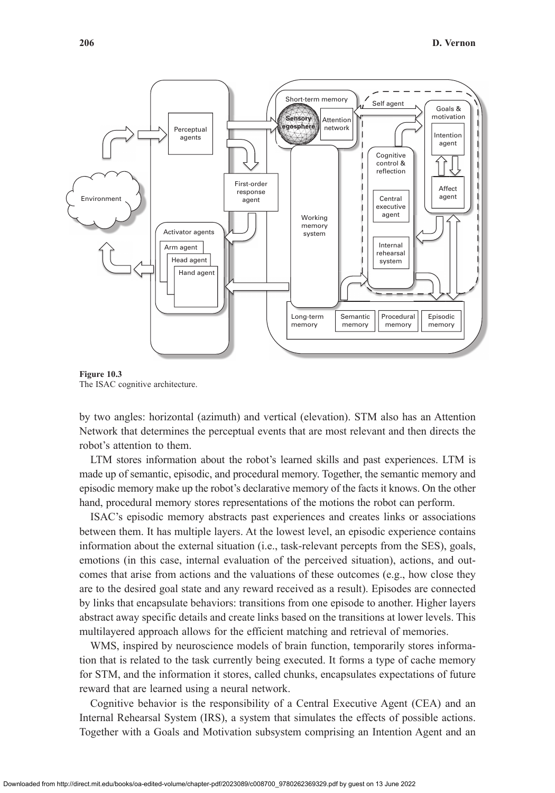

**Figure 10.3** The ISAC cognitive architecture.

by two angles: horizontal (azimuth) and vertical (elevation). STM also has an Attention Network that determines the perceptual events that are most relevant and then directs the robot's attention to them.

LTM stores information about the robot's learned skills and past experiences. LTM is made up of semantic, episodic, and procedural memory. Together, the semantic memory and episodic memory make up the robot's declarative memory of the facts it knows. On the other hand, procedural memory stores representations of the motions the robot can perform.

ISAC's episodic memory abstracts past experiences and creates links or associations between them. It has multiple layers. At the lowest level, an episodic experience contains information about the external situation (i.e., task-relevant percepts from the SES), goals, emotions (in this case, internal evaluation of the perceived situation), actions, and outcomes that arise from actions and the valuations of these outcomes (e.g., how close they are to the desired goal state and any reward received as a result). Episodes are connected by links that encapsulate behaviors: transitions from one episode to another. Higher layers abstract away specific details and create links based on the transitions at lower levels. This multilayered approach allows for the efficient matching and retrieval of memories.

WMS, inspired by neuroscience models of brain function, temporarily stores information that is related to the task currently being executed. It forms a type of cache memory for STM, and the information it stores, called chunks, encapsulates expectations of future reward that are learned using a neural network.

Cognitive behavior is the responsibility of a Central Executive Agent (CEA) and an Internal Rehearsal System (IRS), a system that simulates the effects of possible actions. Together with a Goals and Motivation subsystem comprising an Intention Agent and an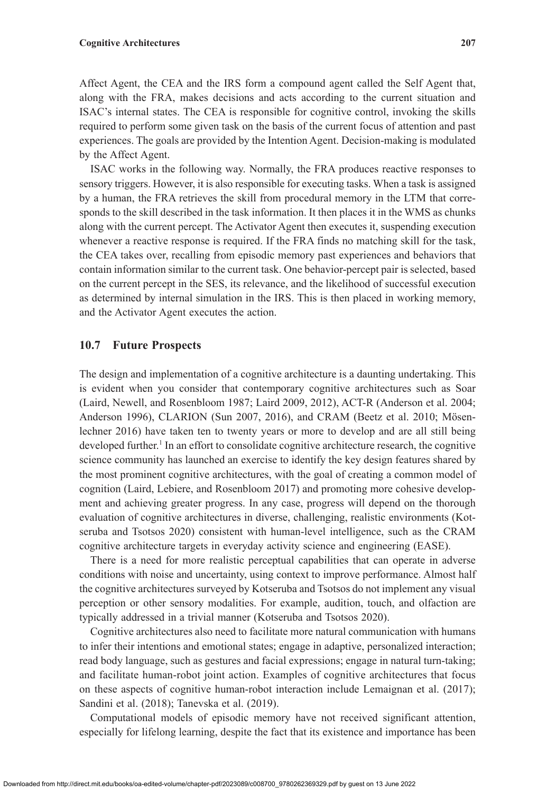Affect Agent, the CEA and the IRS form a compound agent called the Self Agent that, along with the FRA, makes decisions and acts according to the current situation and ISAC's internal states. The CEA is responsible for cognitive control, invoking the skills required to perform some given task on the basis of the current focus of attention and past experiences. The goals are provided by the Intention Agent. Decision-making is modulated by the Affect Agent.

ISAC works in the following way. Normally, the FRA produces reactive responses to sensory triggers. However, it is also responsible for executing tasks. When a task is assigned by a human, the FRA retrieves the skill from procedural memory in the LTM that corresponds to the skill described in the task information. It then places it in the WMS as chunks along with the current percept. The Activator Agent then executes it, suspending execution whenever a reactive response is required. If the FRA finds no matching skill for the task, the CEA takes over, recalling from episodic memory past experiences and behaviors that contain information similar to the current task. One behavior-percept pair is selected, based on the current percept in the SES, its relevance, and the likelihood of successful execution as determined by internal simulation in the IRS. This is then placed in working memory, and the Activator Agent executes the action.

## **10.7 Future Prospects**

The design and implementation of a cognitive architecture is a daunting undertaking. This is evident when you consider that contemporary cognitive architectures such as Soar (Laird, Newell, and Rosenbloom 1987; Laird 2009, 2012), ACT-R (Anderson et al. 2004; Anderson 1996), CLARION (Sun 2007, 2016), and CRAM (Beetz et al. 2010; Mösenlechner 2016) have taken ten to twenty years or more to develop and are all still being developed further.<sup>1</sup> In an effort to consolidate cognitive architecture research, the cognitive science community has launched an exercise to identify the key design features shared by the most prominent cognitive architectures, with the goal of creating a common model of cognition (Laird, Lebiere, and Rosenbloom 2017) and promoting more cohesive development and achieving greater progress. In any case, progress will depend on the thorough evaluation of cognitive architectures in diverse, challenging, realistic environments (Kotseruba and Tsotsos 2020) consistent with human-level intelligence, such as the CRAM cognitive architecture targets in everyday activity science and engineering (EASE).

There is a need for more realistic perceptual capabilities that can operate in adverse conditions with noise and uncertainty, using context to improve performance. Almost half the cognitive architectures surveyed by Kotseruba and Tsotsos do not implement any visual perception or other sensory modalities. For example, audition, touch, and olfaction are typically addressed in a trivial manner (Kotseruba and Tsotsos 2020).

Cognitive architectures also need to facilitate more natural communication with humans to infer their intentions and emotional states; engage in adaptive, personalized interaction; read body language, such as gestures and facial expressions; engage in natural turn-taking; and facilitate human-robot joint action. Examples of cognitive architectures that focus on these aspects of cognitive human-robot interaction include Lemaignan et al. (2017); Sandini et al. (2018); Tanevska et al. (2019).

Computational models of episodic memory have not received significant attention, especially for lifelong learning, despite the fact that its existence and importance has been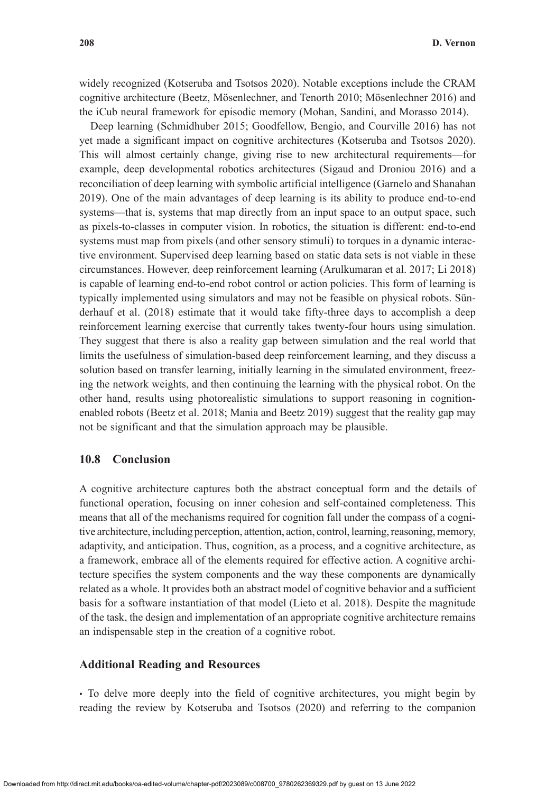widely recognized (Kotseruba and Tsotsos 2020). Notable exceptions include the CRAM cognitive architecture (Beetz, Mösenlechner, and Tenorth 2010; Mösenlechner 2016) and the iCub neural framework for episodic memory (Mohan, Sandini, and Morasso 2014).

Deep learning (Schmidhuber 2015; Goodfellow, Bengio, and Courville 2016) has not yet made a significant impact on cognitive architectures (Kotseruba and Tsotsos 2020). This will almost certainly change, giving rise to new architectural requirements—for example, deep developmental robotics architectures (Sigaud and Droniou 2016) and a reconciliation of deep learning with symbolic artificial intelligence (Garnelo and Shanahan 2019). One of the main advantages of deep learning is its ability to produce end-to-end systems—that is, systems that map directly from an input space to an output space, such as pixels-to-classes in computer vision. In robotics, the situation is different: end-to-end systems must map from pixels (and other sensory stimuli) to torques in a dynamic interactive environment. Supervised deep learning based on static data sets is not viable in these circumstances. However, deep reinforcement learning (Arulkumaran et al. 2017; Li 2018) is capable of learning end-to-end robot control or action policies. This form of learning is typically implemented using simulators and may not be feasible on physical robots. Sünderhauf et al. (2018) estimate that it would take fifty-three days to accomplish a deep reinforcement learning exercise that currently takes twenty-four hours using simulation. They suggest that there is also a reality gap between simulation and the real world that limits the usefulness of simulation-based deep reinforcement learning, and they discuss a solution based on transfer learning, initially learning in the simulated environment, freezing the network weights, and then continuing the learning with the physical robot. On the other hand, results using photorealistic simulations to support reasoning in cognitionenabled robots (Beetz et al. 2018; Mania and Beetz 2019) suggest that the reality gap may not be significant and that the simulation approach may be plausible.

# **10.8 Conclusion**

A cognitive architecture captures both the abstract conceptual form and the details of functional operation, focusing on inner cohesion and self-contained completeness. This means that all of the mechanisms required for cognition fall under the compass of a cognitive architecture, including perception, attention, action, control, learning, reasoning, memory, adaptivity, and anticipation. Thus, cognition, as a process, and a cognitive architecture, as a framework, embrace all of the elements required for effective action. A cognitive architecture specifies the system components and the way these components are dynamically related as a whole. It provides both an abstract model of cognitive behavior and a sufficient basis for a software instantiation of that model (Lieto et al. 2018). Despite the magnitude of the task, the design and implementation of an appropriate cognitive architecture remains an indispensable step in the creation of a cognitive robot.

## **Additional Reading and Resources**

• To delve more deeply into the field of cognitive architectures, you might begin by reading the review by Kotseruba and Tsotsos (2020) and referring to the companion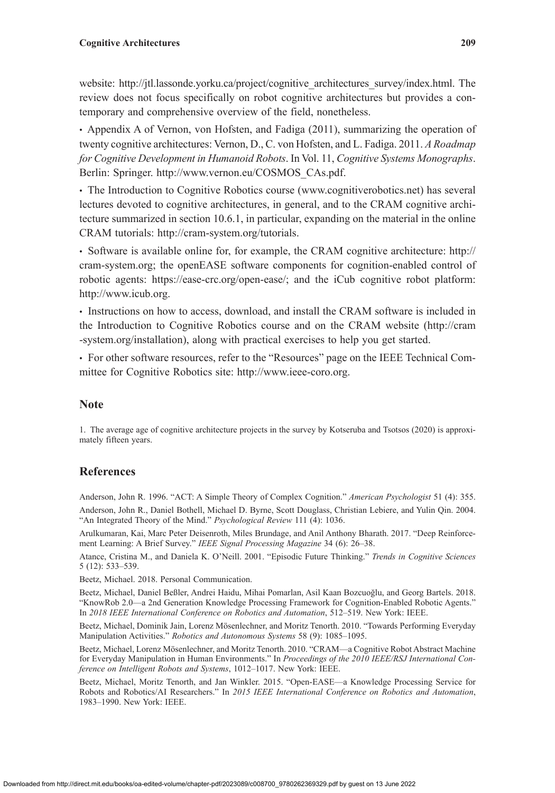#### **Cognitive Architectures 209**

website: [http://jtl.lassonde.yorku.ca/project/cognitive\\_architectures\\_survey/index.html.](http://jtl.lassonde.yorku.ca/project/cognitive_architectures_survey/index.html) The review does not focus specifically on robot cognitive architectures but provides a contemporary and comprehensive overview of the field, nonetheless.

• Appendix A of Vernon, von Hofsten, and Fadiga (2011), summarizing the operation of twenty cognitive architectures: Vernon, D., C. von Hofsten, and L. Fadiga. 2011. *A Roadmap for Cognitive Development in Humanoid Robots*. In Vol. 11, *Cognitive Systems Monographs*. Berlin: Springer. [http://www.vernon.eu/COSMOS\\_CAs.pdf.](http://www.vernon.eu/COSMOS_CAs.pdf)

• The Introduction to Cognitive Robotics course ([www.cognitiverobotics.net](http://www.cognitiverobotics.net)) has several lectures devoted to cognitive architectures, in general, and to the CRAM cognitive architecture summarized in section 10.6.1, in particular, expanding on the material in the online CRAM tutorials: <http://cram-system.org/tutorials>.

• Software is available online for, for example, the CRAM cognitive architecture: [http://](http://cram-system.org) [cram-system.org;](http://cram-system.org) the openEASE software components for cognition-enabled control of robotic agents: [https://ease-crc.org/open-ease/;](https://ease-crc.org/open-ease/) and the iCub cognitive robot platform: <http://www.icub.org>.

• Instructions on how to access, download, and install the CRAM software is included in the Introduction to Cognitive Robotics course and on the CRAM website [\(http://cram](http://cram-system.org/installation) [-system.org/installation\)](http://cram-system.org/installation), along with practical exercises to help you get started.

• For other software resources, refer to the "Resources" page on the IEEE Technical Committee for Cognitive Robotics site: [http://www.ieee-coro.org.](http://www.ieee-coro.org)

# **Note**

1. The average age of cognitive architecture projects in the survey by Kotseruba and Tsotsos (2020) is approximately fifteen years.

# **References**

Anderson, John R. 1996. "ACT: A Simple Theory of Complex Cognition." *American Psychologist* 51 (4): 355. Anderson, John R., Daniel Bothell, Michael D. Byrne, Scott Douglass, Christian Lebiere, and Yulin Qin. 2004.

Arulkumaran, Kai, Marc Peter Deisenroth, Miles Brundage, and Anil Anthony Bharath. 2017. "Deep Reinforcement Learning: A Brief Survey." *IEEE Signal Processing Magazine* 34 (6): 26–38.

Atance, Cristina M., and Daniela K. O'Neill. 2001. "Episodic Future Thinking." *Trends in Cognitive Sciences* 5 (12): 533–539.

Beetz, Michael. 2018. Personal Communication.

Beetz, Michael, Daniel Beßler, Andrei Haidu, Mihai Pomarlan, Asil Kaan Bozcuoğlu, and Georg Bartels. 2018. "KnowRob 2.0—a 2nd Generation Knowledge Processing Framework for Cognition-Enabled Robotic Agents." In *2018 IEEE International Conference on Robotics and Automation*, 512–519. New York: IEEE.

Beetz, Michael, Dominik Jain, Lorenz Mösenlechner, and Moritz Tenorth. 2010. "Towards Performing Everyday Manipulation Activities." *Robotics and Autonomous Systems* 58 (9): 1085–1095.

Beetz, Michael, Lorenz Mösenlechner, and Moritz Tenorth. 2010. "CRAM—a Cognitive Robot Abstract Machine for Everyday Manipulation in Human Environments." In *Proceedings of the 2010 IEEE/RSJ International Conference on Intelligent Robots and Systems*, 1012–1017. New York: IEEE.

Beetz, Michael, Moritz Tenorth, and Jan Winkler. 2015. "Open-EASE—a Knowledge Processing Service for Robots and Robotics/AI Researchers." In *2015 IEEE International Conference on Robotics and Automation*, 1983–1990. New York: IEEE.

"An Integrated Theory of the Mind." *Psychological Review* 111 (4): 1036.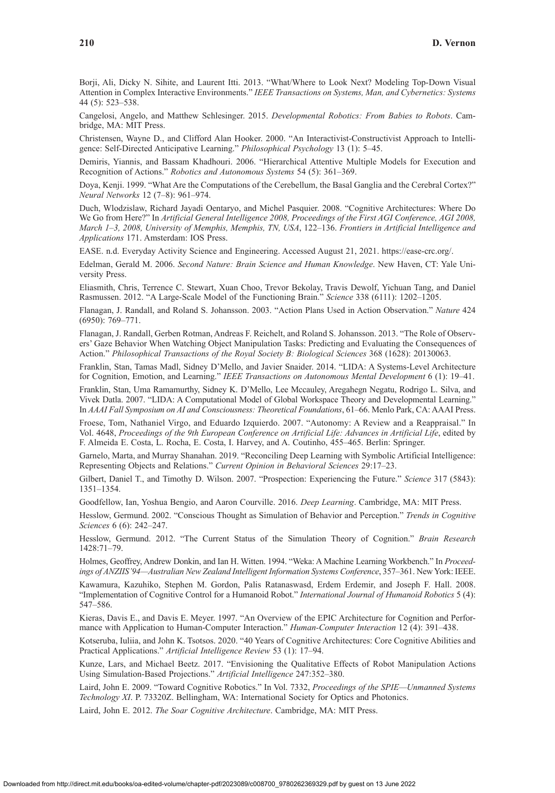Borji, Ali, Dicky N. Sihite, and Laurent Itti. 2013. "What/Where to Look Next? Modeling Top-Down Visual Attention in Complex Interactive Environments." *IEEE Transactions on Systems, Man, and Cybernetics: Systems* 44 (5): 523–538.

Cangelosi, Angelo, and Matthew Schlesinger. 2015. *Developmental Robotics: From Babies to Robots*. Cambridge, MA: MIT Press.

Christensen, Wayne D., and Clifford Alan Hooker. 2000. "An Interactivist-Constructivist Approach to Intelligence: Self-Directed Anticipative Learning." *Philosophical Psychology* 13 (1): 5–45.

Demiris, Yiannis, and Bassam Khadhouri. 2006. "Hierarchical Attentive Multiple Models for Execution and Recognition of Actions." *Robotics and Autonomous Systems* 54 (5): 361–369.

Doya, Kenji. 1999. "What Are the Computations of the Cerebellum, the Basal Ganglia and the Cerebral Cortex?" *Neural Networks* 12 (7–8): 961–974.

Duch, Wlodzislaw, Richard Jayadi Oentaryo, and Michel Pasquier. 2008. "Cognitive Architectures: Where Do We Go from Here?" In *Artificial General Intelligence 2008, Proceedings of the First AGI Conference, AGI 2008, March 1–3, 2008, University of Memphis, Memphis, TN, USA*, 122–136. *Frontiers in Artificial Intelligence and Applications* 171. Amsterdam: IOS Press.

EASE. n.d. Everyday Activity Science and Engineering. Accessed August 21, 2021. [https://ease-crc.org/.](https://ease-crc.org/)

Edelman, Gerald M. 2006. *Second Nature: Brain Science and Human Knowledge*. New Haven, CT: Yale University Press.

Eliasmith, Chris, Terrence C. Stewart, Xuan Choo, Trevor Bekolay, Travis Dewolf, Yichuan Tang, and Daniel Rasmussen. 2012. "A Large-Scale Model of the Functioning Brain." *Science* 338 (6111): 1202–1205.

Flanagan, J. Randall, and Roland S. Johansson. 2003. "Action Plans Used in Action Observation." *Nature* 424 (6950): 769–771.

Flanagan, J. Randall, Gerben Rotman, Andreas F. Reichelt, and Roland S. Johansson. 2013. "The Role of Observers' Gaze Behavior When Watching Object Manipulation Tasks: Predicting and Evaluating the Consequences of Action." *Philosophical Transactions of the Royal Society B: Biological Sciences* 368 (1628): 20130063.

Franklin, Stan, Tamas Madl, Sidney D'Mello, and Javier Snaider. 2014. "LIDA: A Systems-Level Architecture for Cognition, Emotion, and Learning." *IEEE Transactions on Autonomous Mental Development* 6 (1): 19–41.

Franklin, Stan, Uma Ramamurthy, Sidney K. D'Mello, Lee Mccauley, Aregahegn Negatu, Rodrigo L. Silva, and Vivek Datla. 2007. "LIDA: A Computational Model of Global Workspace Theory and Developmental Learning." In *AAAI Fall Symposium on AI and Consciousness: Theoretical Foundations*, 61–66. Menlo Park, CA: AAAI Press.

Froese, Tom, Nathaniel Virgo, and Eduardo Izquierdo. 2007. "Autonomy: A Review and a Reappraisal." In Vol. 4648, *Proceedings of the 9th European Conference on Artificial Life: Advances in Artificial Life*, edited by F. Almeida E. Costa, L. Rocha, E. Costa, I. Harvey, and A. Coutinho, 455–465. Berlin: Springer.

Garnelo, Marta, and Murray Shanahan. 2019. "Reconciling Deep Learning with Symbolic Artificial Intelligence: Representing Objects and Relations." *Current Opinion in Behavioral Sciences* 29:17–23.

Gilbert, Daniel T., and Timothy D. Wilson. 2007. "Prospection: Experiencing the Future." *Science* 317 (5843): 1351–1354.

Goodfellow, Ian, Yoshua Bengio, and Aaron Courville. 2016. *Deep Learning*. Cambridge, MA: MIT Press.

Hesslow, Germund. 2002. "Conscious Thought as Simulation of Behavior and Perception." *Trends in Cognitive Sciences* 6 (6): 242–247.

Hesslow, Germund. 2012. "The Current Status of the Simulation Theory of Cognition." *Brain Research* 1428:71–79.

Holmes, Geoffrey, Andrew Donkin, and Ian H. Witten. 1994. "Weka: A Machine Learning Workbench." In *Proceedings of ANZIIS'94—Australian New Zealand Intelligent Information Systems Conference*, 357–361. New York: IEEE.

Kawamura, Kazuhiko, Stephen M. Gordon, Palis Ratanaswasd, Erdem Erdemir, and Joseph F. Hall. 2008. "Implementation of Cognitive Control for a Humanoid Robot." *International Journal of Humanoid Robotics* 5 (4): 547–586.

Kieras, Davis E., and Davis E. Meyer. 1997. "An Overview of the EPIC Architecture for Cognition and Performance with Application to Human-Computer Interaction." *Human-Computer Interaction* 12 (4): 391–438.

Kotseruba, Iuliia, and John K. Tsotsos. 2020. "40 Years of Cognitive Architectures: Core Cognitive Abilities and Practical Applications." *Artificial Intelligence Review* 53 (1): 17–94.

Kunze, Lars, and Michael Beetz. 2017. "Envisioning the Qualitative Effects of Robot Manipulation Actions Using Simulation-Based Projections." *Artificial Intelligence* 247:352–380.

Laird, John E. 2009. "Toward Cognitive Robotics." In Vol. 7332, *Proceedings of the SPIE—Unmanned Systems Technology XI*. P. 73320Z. Bellingham, WA: International Society for Optics and Photonics.

Laird, John E. 2012. *The Soar Cognitive Architecture*. Cambridge, MA: MIT Press.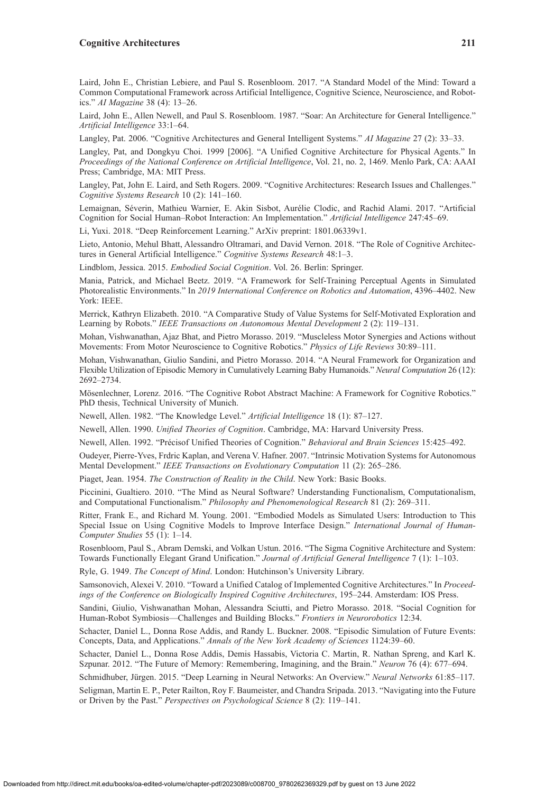Laird, John E., Christian Lebiere, and Paul S. Rosenbloom. 2017. "A Standard Model of the Mind: Toward a Common Computational Framework across Artificial Intelligence, Cognitive Science, Neuroscience, and Robotics." *AI Magazine* 38 (4): 13–26.

Laird, John E., Allen Newell, and Paul S. Rosenbloom. 1987. "Soar: An Architecture for General Intelligence." *Artificial Intelligence* 33:1–64.

Langley, Pat. 2006. "Cognitive Architectures and General Intelligent Systems." *AI Magazine* 27 (2): 33–33.

Langley, Pat, and Dongkyu Choi. 1999 [2006]. "A Unified Cognitive Architecture for Physical Agents." In *Proceedings of the National Conference on Artificial Intelligence*, Vol. 21, no. 2, 1469. Menlo Park, CA: AAAI Press; Cambridge, MA: MIT Press.

Langley, Pat, John E. Laird, and Seth Rogers. 2009. "Cognitive Architectures: Research Issues and Challenges." *Cognitive Systems Research* 10 (2): 141–160.

Lemaignan, Séverin, Mathieu Warnier, E. Akin Sisbot, Aurélie Clodic, and Rachid Alami. 2017. "Artificial Cognition for Social Human–Robot Interaction: An Implementation." *Artificial Intelligence* 247:45–69.

Li, Yuxi. 2018. "Deep Reinforcement Learning." ArXiv preprint: 1801.06339v1.

Lieto, Antonio, Mehul Bhatt, Alessandro Oltramari, and David Vernon. 2018. "The Role of Cognitive Architectures in General Artificial Intelligence." *Cognitive Systems Research* 48:1–3.

Lindblom, Jessica. 2015. *Embodied Social Cognition*. Vol. 26. Berlin: Springer.

Mania, Patrick, and Michael Beetz. 2019. "A Framework for Self-Training Perceptual Agents in Simulated Photorealistic Environments." In *2019 International Conference on Robotics and Automation*, 4396–4402. New York: IEEE.

Merrick, Kathryn Elizabeth. 2010. "A Comparative Study of Value Systems for Self-Motivated Exploration and Learning by Robots." *IEEE Transactions on Autonomous Mental Development* 2 (2): 119–131.

Mohan, Vishwanathan, Ajaz Bhat, and Pietro Morasso. 2019. "Muscleless Motor Synergies and Actions without Movements: From Motor Neuroscience to Cognitive Robotics." *Physics of Life Reviews* 30:89–111.

Mohan, Vishwanathan, Giulio Sandini, and Pietro Morasso. 2014. "A Neural Framework for Organization and Flexible Utilization of Episodic Memory in Cumulatively Learning Baby Humanoids." *Neural Computation* 26 (12): 2692–2734.

Mösenlechner, Lorenz. 2016. "The Cognitive Robot Abstract Machine: A Framework for Cognitive Robotics." PhD thesis, Technical University of Munich.

Newell, Allen. 1982. "The Knowledge Level." *Artificial Intelligence* 18 (1): 87–127.

Newell, Allen. 1990. *Unified Theories of Cognition*. Cambridge, MA: Harvard University Press.

Newell, Allen. 1992. "Précisof Unified Theories of Cognition." *Behavioral and Brain Sciences* 15:425–492.

Oudeyer, Pierre-Yves, Frdric Kaplan, and Verena V. Hafner. 2007. "Intrinsic Motivation Systems for Autonomous Mental Development." *IEEE Transactions on Evolutionary Computation* 11 (2): 265–286.

Piaget, Jean. 1954. *The Construction of Reality in the Child*. New York: Basic Books.

Piccinini, Gualtiero. 2010. "The Mind as Neural Software? Understanding Functionalism, Computationalism, and Computational Functionalism." *Philosophy and Phenomenological Research* 81 (2): 269–311.

Ritter, Frank E., and Richard M. Young. 2001. "Embodied Models as Simulated Users: Introduction to This Special Issue on Using Cognitive Models to Improve Interface Design." *International Journal of Human-Computer Studies* 55 (1): 1–14.

Rosenbloom, Paul S., Abram Demski, and Volkan Ustun. 2016. "The Sigma Cognitive Architecture and System: Towards Functionally Elegant Grand Unification." *Journal of Artificial General Intelligence* 7 (1): 1–103.

Ryle, G. 1949. *The Concept of Mind*. London: Hutchinson's University Library.

Samsonovich, Alexei V. 2010. "Toward a Unified Catalog of Implemented Cognitive Architectures." In *Proceedings of the Conference on Biologically Inspired Cognitive Architectures*, 195–244. Amsterdam: IOS Press.

Sandini, Giulio, Vishwanathan Mohan, Alessandra Sciutti, and Pietro Morasso. 2018. "Social Cognition for Human-Robot Symbiosis—Challenges and Building Blocks." *Frontiers in Neurorobotics* 12:34.

Schacter, Daniel L., Donna Rose Addis, and Randy L. Buckner. 2008. "Episodic Simulation of Future Events: Concepts, Data, and Applications." *Annals of the New York Academy of Sciences* 1124:39–60.

Schacter, Daniel L., Donna Rose Addis, Demis Hassabis, Victoria C. Martin, R. Nathan Spreng, and Karl K. Szpunar. 2012. "The Future of Memory: Remembering, Imagining, and the Brain." *Neuron* 76 (4): 677–694.

Schmidhuber, Jürgen. 2015. "Deep Learning in Neural Networks: An Overview." *Neural Networks* 61:85–117.

Seligman, Martin E. P., Peter Railton, Roy F. Baumeister, and Chandra Sripada. 2013. "Navigating into the Future or Driven by the Past." *Perspectives on Psychological Science* 8 (2): 119–141.